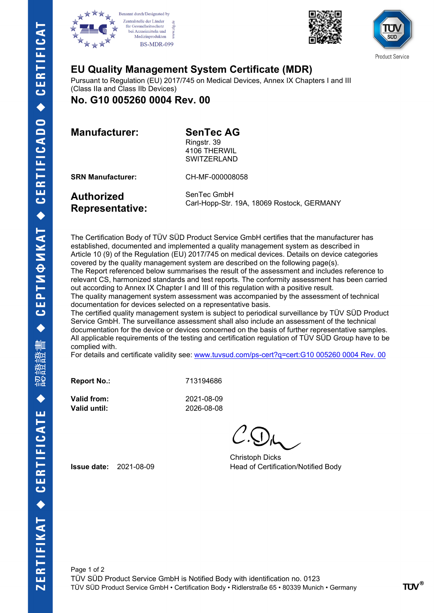







## **EU Quality Management System Certificate (MDR)**

Pursuant to Regulation (EU) 2017/745 on Medical Devices, Annex IX Chapters I and III (Class IIa and Class IIb Devices)

**No. G10 005260 0004 Rev. 00**

**Manufacturer: SenTec AG**

Ringstr. 39

4106 THERWIL **SWITZERLAND** 

**SRN Manufacturer:** CH-MF-000008058

**Authorized Representative:** SenTec GmbH Carl-Hopp-Str. 19A, 18069 Rostock, GERMANY

The Certification Body of TÜV SÜD Product Service GmbH certifies that the manufacturer has established, documented and implemented a quality management system as described in Article 10 (9) of the Regulation (EU) 2017/745 on medical devices. Details on device categories covered by the quality management system are described on the following page(s). The Report referenced below summarises the result of the assessment and includes reference to relevant CS, harmonized standards and test reports. The conformity assessment has been carried out according to Annex IX Chapter I and III of this regulation with a positive result.

The quality management system assessment was accompanied by the assessment of technical documentation for devices selected on a representative basis.

The certified quality management system is subject to periodical surveillance by TÜV SÜD Product Service GmbH. The surveillance assessment shall also include an assessment of the technical documentation for the device or devices concerned on the basis of further representative samples. All applicable requirements of the testing and certification regulation of TÜV SÜD Group have to be complied with.

For details and certificate validity see: [www.tuvsud.com/ps-cert?q=cert:G10 005260 0004 Rev. 00](http://www.tuvsud.com/ps-cert?q=cert:G10%20005260%200004%20Rev.%2000) 

**Report No.:** 713194686

**Valid from:** 2021-08-09 **Valid until:** 2026-08-08

Christoph Dicks **Issue date:** 2021-08-09 **Head of Certification/Notified Body**